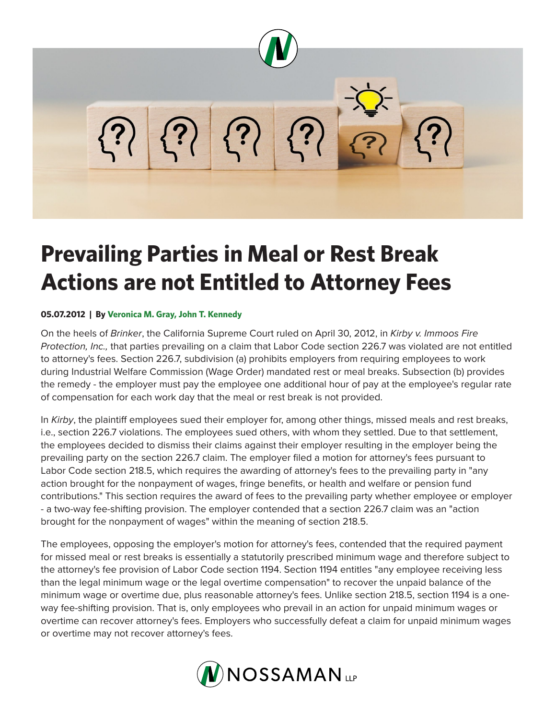

## **Prevailing Parties in Meal or Rest Break Actions are not Entitled to Attorney Fees**

## **05.07.2012 | By Veronica M. Gray, John T. Kennedy**

On the heels of *Brinker*, the California Supreme Court ruled on April 30, 2012, in *Kirby v. Immoos Fire Protection, Inc.,* that parties prevailing on a claim that Labor Code section 226.7 was violated are not entitled to attorney's fees. Section 226.7, subdivision (a) prohibits employers from requiring employees to work during Industrial Welfare Commission (Wage Order) mandated rest or meal breaks. Subsection (b) provides the remedy - the employer must pay the employee one additional hour of pay at the employee's regular rate of compensation for each work day that the meal or rest break is not provided.

In *Kirby*, the plaintiff employees sued their employer for, among other things, missed meals and rest breaks, i.e., section 226.7 violations. The employees sued others, with whom they settled. Due to that settlement, the employees decided to dismiss their claims against their employer resulting in the employer being the prevailing party on the section 226.7 claim. The employer filed a motion for attorney's fees pursuant to Labor Code section 218.5, which requires the awarding of attorney's fees to the prevailing party in "any action brought for the nonpayment of wages, fringe benefits, or health and welfare or pension fund contributions." This section requires the award of fees to the prevailing party whether employee or employer - a two-way fee-shifting provision. The employer contended that a section 226.7 claim was an "action brought for the nonpayment of wages" within the meaning of section 218.5.

The employees, opposing the employer's motion for attorney's fees, contended that the required payment for missed meal or rest breaks is essentially a statutorily prescribed minimum wage and therefore subject to the attorney's fee provision of Labor Code section 1194. Section 1194 entitles "any employee receiving less than the legal minimum wage or the legal overtime compensation" to recover the unpaid balance of the minimum wage or overtime due, plus reasonable attorney's fees. Unlike section 218.5, section 1194 is a oneway fee-shifting provision. That is, only employees who prevail in an action for unpaid minimum wages or overtime can recover attorney's fees. Employers who successfully defeat a claim for unpaid minimum wages or overtime may not recover attorney's fees.